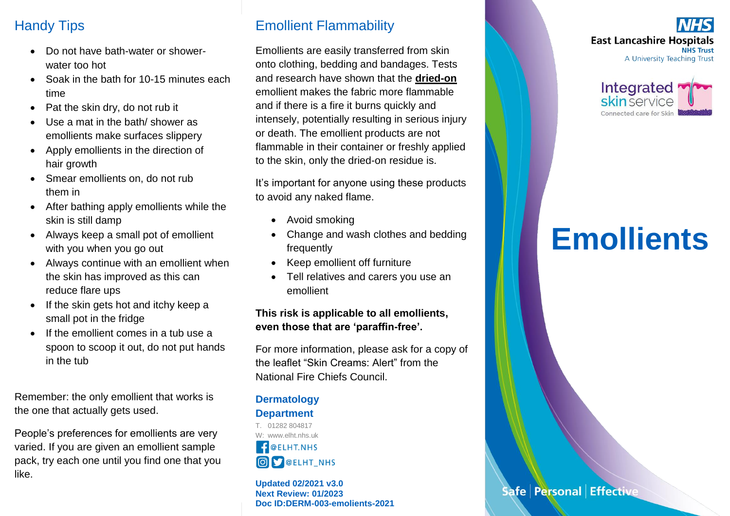## Handy Tips

- Do not have bath-water or showerwater too hot
- Soak in the bath for 10-15 minutes each time
- Pat the skin dry, do not rub it
- Use a mat in the bath/ shower as emollients make surfaces slippery
- Apply emollients in the direction of hair growth
- Smear emollients on, do not rub them in
- After bathing apply emollients while the skin is still damp
- Always keep a small pot of emollient with you when you go out
- Always continue with an emollient when the skin has improved as this can reduce flare ups
- If the skin gets hot and itchy keep a small pot in the fridge
- If the emollient comes in a tub use a spoon to scoop it out, do not put hands in the tub

Remember: the only emollient that works is the one that actually gets used.

People's preferences for emollients are very varied. If you are given an emollient sample pack, try each one until you find one that you like.

## Emollient Flammability

Emollients are easily transferred from skin onto clothing, bedding and bandages. Tests and research have shown that the **dried-on** emollient makes the fabric more flammable and if there is a fire it burns quickly and intensely, potentially resulting in serious injury or death. The emollient products are not flammable in their container or freshly applied to the skin, only the dried-on residue is.

It's important for anyone using these products to avoid any naked flame.

- Avoid smoking
- Change and wash clothes and bedding frequently
- Keep emollient off furniture
- Tell relatives and carers you use an emollient

#### **This risk is applicable to all emollients, even those that are 'paraffin-free'.**

For more information, please ask for a copy of the leaflet "Skin Creams: Alert" from the National Fire Chiefs Council.

### **Dermatology Department**

T. 01282 804817 W: www.elht.nhs.uk  $\theta$  @ ELHT. NHS O S @ELHT\_NHS

**Updated 02/2021 v3.0 Next Review: 01/2023 Doc ID:DERM-003-emolients-2021**





# **Emollients**

Safe Personal Effective